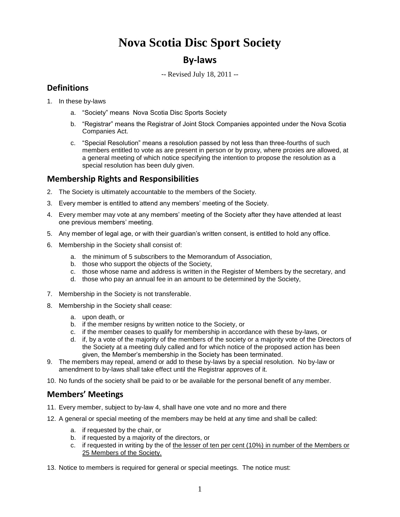# **Nova Scotia Disc Sport Society**

# **By-laws**

-- Revised July 18, 2011 --

### **Definitions**

- 1. In these by-laws
	- a. "Society" means Nova Scotia Disc Sports Society
	- b. "Registrar" means the Registrar of Joint Stock Companies appointed under the Nova Scotia Companies Act.
	- c. "Special Resolution" means a resolution passed by not less than three-fourths of such members entitled to vote as are present in person or by proxy, where proxies are allowed, at a general meeting of which notice specifying the intention to propose the resolution as a special resolution has been duly given.

### **Membership Rights and Responsibilities**

- 2. The Society is ultimately accountable to the members of the Society.
- 3. Every member is entitled to attend any members' meeting of the Society.
- 4. Every member may vote at any members' meeting of the Society after they have attended at least one previous members' meeting.
- 5. Any member of legal age, or with their guardian's written consent, is entitled to hold any office.
- 6. Membership in the Society shall consist of:
	- a. the minimum of 5 subscribers to the Memorandum of Association,
	- b. those who support the objects of the Society,
	- c. those whose name and address is written in the Register of Members by the secretary, and
	- d. those who pay an annual fee in an amount to be determined by the Society,
- 7. Membership in the Society is not transferable.
- 8. Membership in the Society shall cease:
	- a. upon death, or
	- b. if the member resigns by written notice to the Society, or
	- c. if the member ceases to qualify for membership in accordance with these by-laws, or
	- d. if, by a vote of the majority of the members of the society or a majority vote of the Directors of the Society at a meeting duly called and for which notice of the proposed action has been given, the Member's membership in the Society has been terminated.
- 9. The members may repeal, amend or add to these by-laws by a special resolution. No by-law or amendment to by-laws shall take effect until the Registrar approves of it.
- 10. No funds of the society shall be paid to or be available for the personal benefit of any member.

#### **Members' Meetings**

- 11. Every member, subject to by-law 4, shall have one vote and no more and there
- 12. A general or special meeting of the members may be held at any time and shall be called:
	- a. if requested by the chair, or
	- b. if requested by a majority of the directors, or
	- c. if requested in writing by the of the lesser of ten per cent (10%) in number of the Members or 25 Members of the Society.
- 13. Notice to members is required for general or special meetings. The notice must: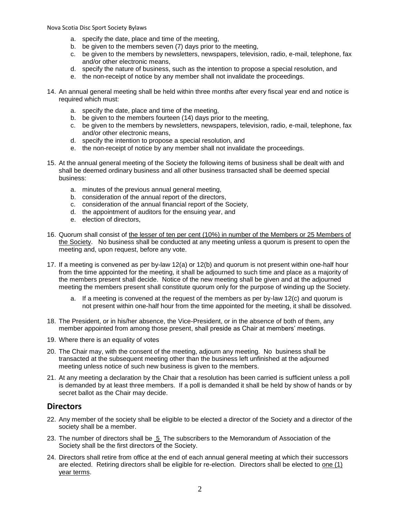Nova Scotia Disc Sport Society Bylaws

- a. specify the date, place and time of the meeting,
- b. be given to the members seven (7) days prior to the meeting,
- c. be given to the members by newsletters, newspapers, television, radio, e-mail, telephone, fax and/or other electronic means,
- d. specify the nature of business, such as the intention to propose a special resolution, and
- e. the non-receipt of notice by any member shall not invalidate the proceedings.
- 14. An annual general meeting shall be held within three months after every fiscal year end and notice is required which must:
	- a. specify the date, place and time of the meeting,
	- b. be given to the members fourteen (14) days prior to the meeting,
	- c. be given to the members by newsletters, newspapers, television, radio, e-mail, telephone, fax and/or other electronic means,
	- d. specify the intention to propose a special resolution, and
	- e. the non-receipt of notice by any member shall not invalidate the proceedings.
- 15. At the annual general meeting of the Society the following items of business shall be dealt with and shall be deemed ordinary business and all other business transacted shall be deemed special business:
	- a. minutes of the previous annual general meeting,
	- b. consideration of the annual report of the directors,
	- c. consideration of the annual financial report of the Society,
	- d. the appointment of auditors for the ensuing year, and
	- e. election of directors,
- 16. Quorum shall consist of the lesser of ten per cent (10%) in number of the Members or 25 Members of the Society. No business shall be conducted at any meeting unless a quorum is present to open the meeting and, upon request, before any vote.
- 17. If a meeting is convened as per by-law 12(a) or 12(b) and quorum is not present within one-half hour from the time appointed for the meeting, it shall be adjourned to such time and place as a majority of the members present shall decide. Notice of the new meeting shall be given and at the adjourned meeting the members present shall constitute quorum only for the purpose of winding up the Society.
	- a. If a meeting is convened at the request of the members as per by-law 12(c) and quorum is not present within one-half hour from the time appointed for the meeting, it shall be dissolved.
- 18. The President, or in his/her absence, the Vice-President, or in the absence of both of them, any member appointed from among those present, shall preside as Chair at members' meetings.
- 19. Where there is an equality of votes
- 20. The Chair may, with the consent of the meeting, adjourn any meeting. No business shall be transacted at the subsequent meeting other than the business left unfinished at the adjourned meeting unless notice of such new business is given to the members.
- 21. At any meeting a declaration by the Chair that a resolution has been carried is sufficient unless a poll is demanded by at least three members. If a poll is demanded it shall be held by show of hands or by secret ballot as the Chair may decide.

#### **Directors**

- 22. Any member of the society shall be eligible to be elected a director of the Society and a director of the society shall be a member.
- 23. The number of directors shall be 5 The subscribers to the Memorandum of Association of the Society shall be the first directors of the Society.
- 24. Directors shall retire from office at the end of each annual general meeting at which their successors are elected. Retiring directors shall be eligible for re-election. Directors shall be elected to one (1) year terms.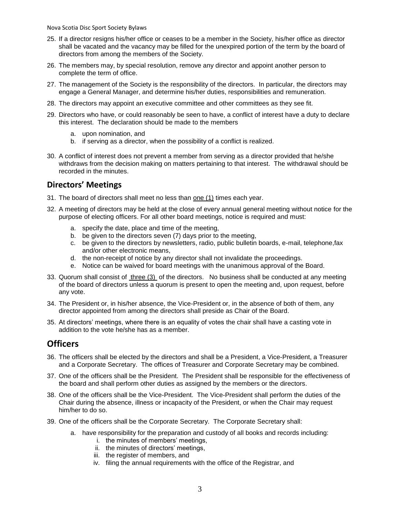Nova Scotia Disc Sport Society Bylaws

- 25. If a director resigns his/her office or ceases to be a member in the Society, his/her office as director shall be vacated and the vacancy may be filled for the unexpired portion of the term by the board of directors from among the members of the Society.
- 26. The members may, by special resolution, remove any director and appoint another person to complete the term of office.
- 27. The management of the Society is the responsibility of the directors. In particular, the directors may engage a General Manager, and determine his/her duties, responsibilities and remuneration.
- 28. The directors may appoint an executive committee and other committees as they see fit.
- 29. Directors who have, or could reasonably be seen to have, a conflict of interest have a duty to declare this interest. The declaration should be made to the members
	- a. upon nomination, and
	- b. if serving as a director, when the possibility of a conflict is realized.
- 30. A conflict of interest does not prevent a member from serving as a director provided that he/she withdraws from the decision making on matters pertaining to that interest. The withdrawal should be recorded in the minutes.

#### **Directors' Meetings**

- 31. The board of directors shall meet no less than one (1) times each year.
- 32. A meeting of directors may be held at the close of every annual general meeting without notice for the purpose of electing officers. For all other board meetings, notice is required and must:
	- a. specify the date, place and time of the meeting,
	- b. be given to the directors seven (7) days prior to the meeting,
	- c. be given to the directors by newsletters, radio, public bulletin boards, e-mail, telephone,fax and/or other electronic means,
	- d. the non-receipt of notice by any director shall not invalidate the proceedings.
	- e. Notice can be waived for board meetings with the unanimous approval of the Board.
- 33. Quorum shall consist of three (3) of the directors. No business shall be conducted at any meeting of the board of directors unless a quorum is present to open the meeting and, upon request, before any vote.
- 34. The President or, in his/her absence, the Vice-President or, in the absence of both of them, any director appointed from among the directors shall preside as Chair of the Board.
- 35. At directors' meetings, where there is an equality of votes the chair shall have a casting vote in addition to the vote he/she has as a member.

## **Officers**

- 36. The officers shall be elected by the directors and shall be a President, a Vice-President, a Treasurer and a Corporate Secretary. The offices of Treasurer and Corporate Secretary may be combined.
- 37. One of the officers shall be the President. The President shall be responsible for the effectiveness of the board and shall perform other duties as assigned by the members or the directors.
- 38. One of the officers shall be the Vice-President. The Vice-President shall perform the duties of the Chair during the absence, illness or incapacity of the President, or when the Chair may request him/her to do so.
- 39. One of the officers shall be the Corporate Secretary. The Corporate Secretary shall:
	- a. have responsibility for the preparation and custody of all books and records including:
		- i. the minutes of members' meetings,
		- ii. the minutes of directors' meetings,
		- iii. the register of members, and
		- iv. filing the annual requirements with the office of the Registrar, and